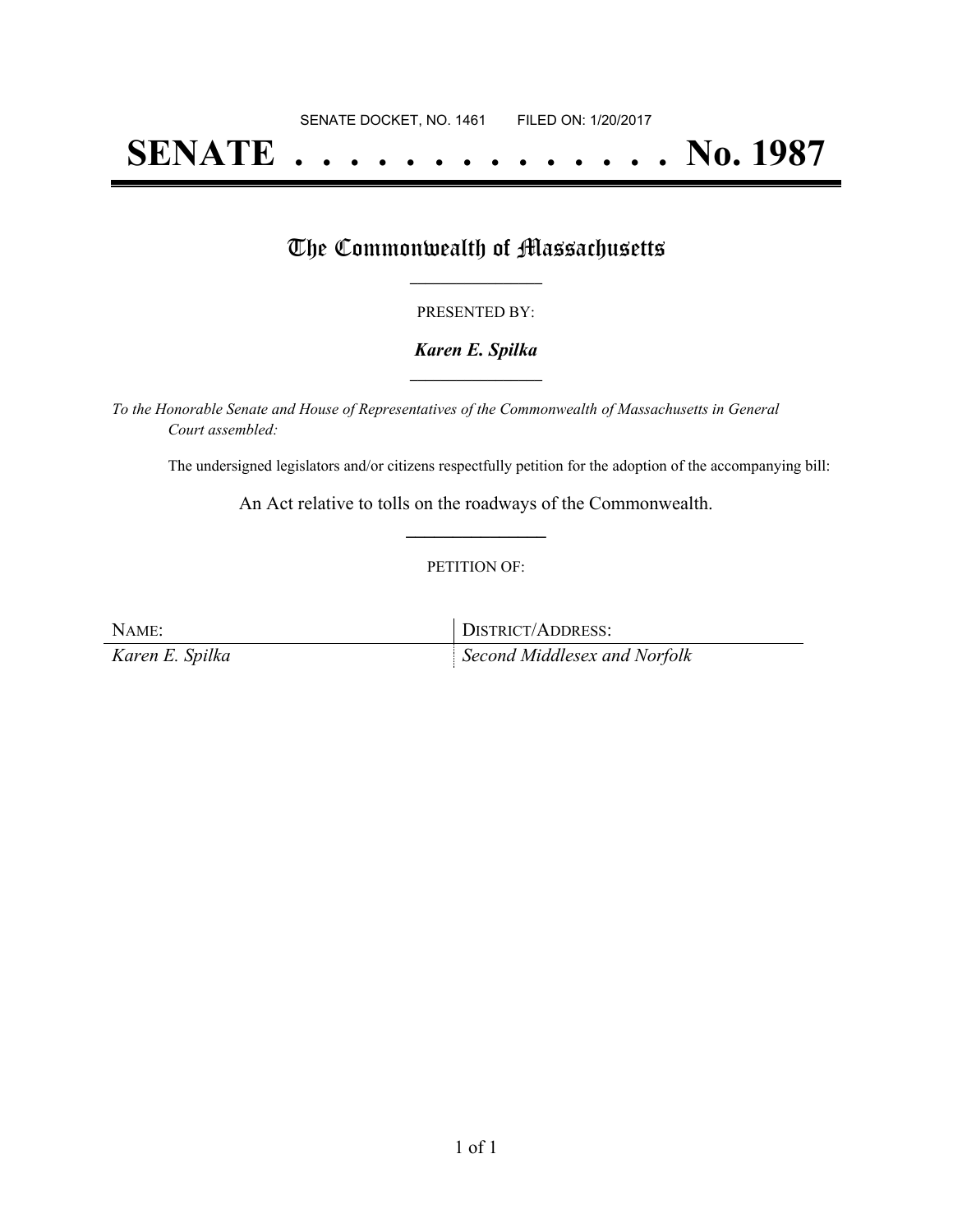# **SENATE . . . . . . . . . . . . . . No. 1987**

### The Commonwealth of Massachusetts

#### PRESENTED BY:

#### *Karen E. Spilka* **\_\_\_\_\_\_\_\_\_\_\_\_\_\_\_\_\_**

*To the Honorable Senate and House of Representatives of the Commonwealth of Massachusetts in General Court assembled:*

The undersigned legislators and/or citizens respectfully petition for the adoption of the accompanying bill:

An Act relative to tolls on the roadways of the Commonwealth. **\_\_\_\_\_\_\_\_\_\_\_\_\_\_\_**

#### PETITION OF:

NAME: DISTRICT/ADDRESS: *Karen E. Spilka Second Middlesex and Norfolk*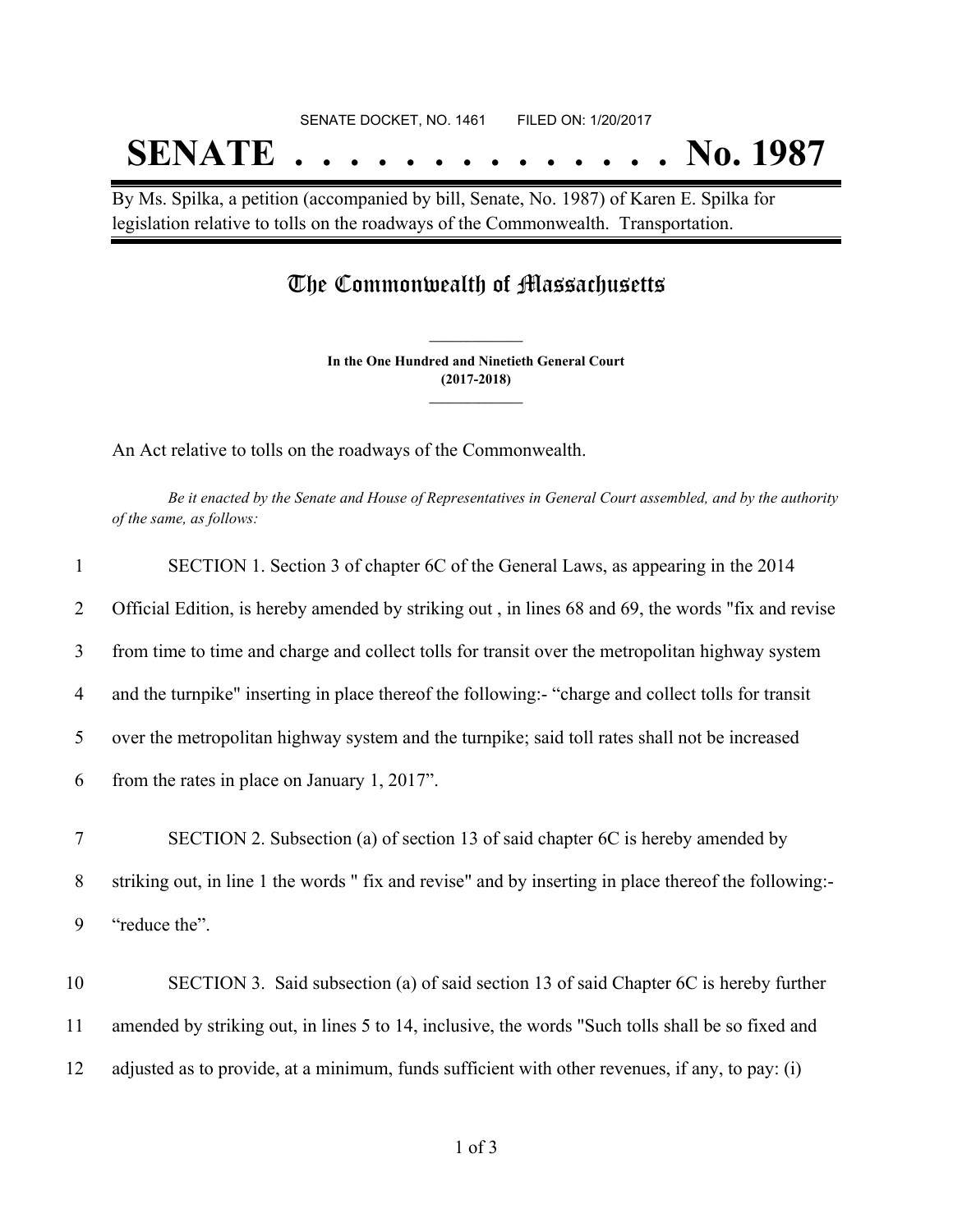# SENATE DOCKET, NO. 1461 FILED ON: 1/20/2017 **SENATE . . . . . . . . . . . . . . No. 1987**

By Ms. Spilka, a petition (accompanied by bill, Senate, No. 1987) of Karen E. Spilka for legislation relative to tolls on the roadways of the Commonwealth. Transportation.

## The Commonwealth of Massachusetts

**In the One Hundred and Ninetieth General Court (2017-2018) \_\_\_\_\_\_\_\_\_\_\_\_\_\_\_**

**\_\_\_\_\_\_\_\_\_\_\_\_\_\_\_**

An Act relative to tolls on the roadways of the Commonwealth.

Be it enacted by the Senate and House of Representatives in General Court assembled, and by the authority *of the same, as follows:*

| $\mathbf{1}$ | SECTION 1. Section 3 of chapter 6C of the General Laws, as appearing in the 2014                      |
|--------------|-------------------------------------------------------------------------------------------------------|
| 2            | Official Edition, is hereby amended by striking out, in lines 68 and 69, the words "fix and revise    |
| 3            | from time to time and charge and collect tolls for transit over the metropolitan highway system       |
| 4            | and the turnpike" inserting in place thereof the following:- "charge and collect tolls for transit    |
| 5            | over the metropolitan highway system and the turnpike; said toll rates shall not be increased         |
| 6            | from the rates in place on January 1, 2017".                                                          |
| $\tau$       | SECTION 2. Subsection (a) of section 13 of said chapter 6C is hereby amended by                       |
| 8            | striking out, in line 1 the words " fix and revise" and by inserting in place thereof the following:- |
| 9            | "reduce the".                                                                                         |
| 10           | SECTION 3. Said subsection (a) of said section 13 of said Chapter 6C is hereby further                |
| 11           | amended by striking out, in lines 5 to 14, inclusive, the words "Such tolls shall be so fixed and     |
| 12           | adjusted as to provide, at a minimum, funds sufficient with other revenues, if any, to pay: (i)       |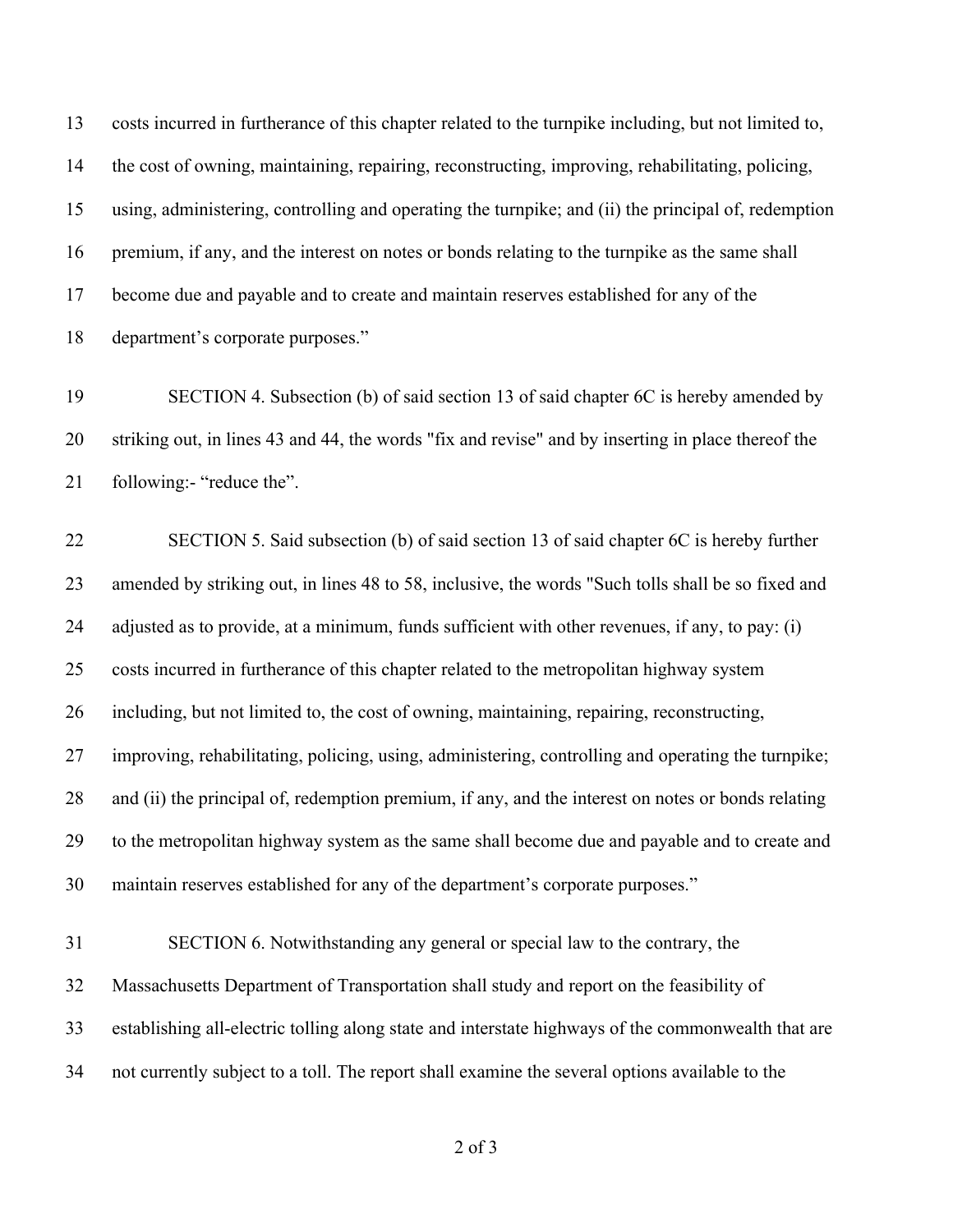costs incurred in furtherance of this chapter related to the turnpike including, but not limited to, the cost of owning, maintaining, repairing, reconstructing, improving, rehabilitating, policing, using, administering, controlling and operating the turnpike; and (ii) the principal of, redemption premium, if any, and the interest on notes or bonds relating to the turnpike as the same shall become due and payable and to create and maintain reserves established for any of the department's corporate purposes."

 SECTION 4. Subsection (b) of said section 13 of said chapter 6C is hereby amended by striking out, in lines 43 and 44, the words "fix and revise" and by inserting in place thereof the following:- "reduce the".

 SECTION 5. Said subsection (b) of said section 13 of said chapter 6C is hereby further amended by striking out, in lines 48 to 58, inclusive, the words "Such tolls shall be so fixed and adjusted as to provide, at a minimum, funds sufficient with other revenues, if any, to pay: (i) costs incurred in furtherance of this chapter related to the metropolitan highway system including, but not limited to, the cost of owning, maintaining, repairing, reconstructing, improving, rehabilitating, policing, using, administering, controlling and operating the turnpike; and (ii) the principal of, redemption premium, if any, and the interest on notes or bonds relating to the metropolitan highway system as the same shall become due and payable and to create and maintain reserves established for any of the department's corporate purposes."

 SECTION 6. Notwithstanding any general or special law to the contrary, the Massachusetts Department of Transportation shall study and report on the feasibility of establishing all-electric tolling along state and interstate highways of the commonwealth that are not currently subject to a toll. The report shall examine the several options available to the

of 3